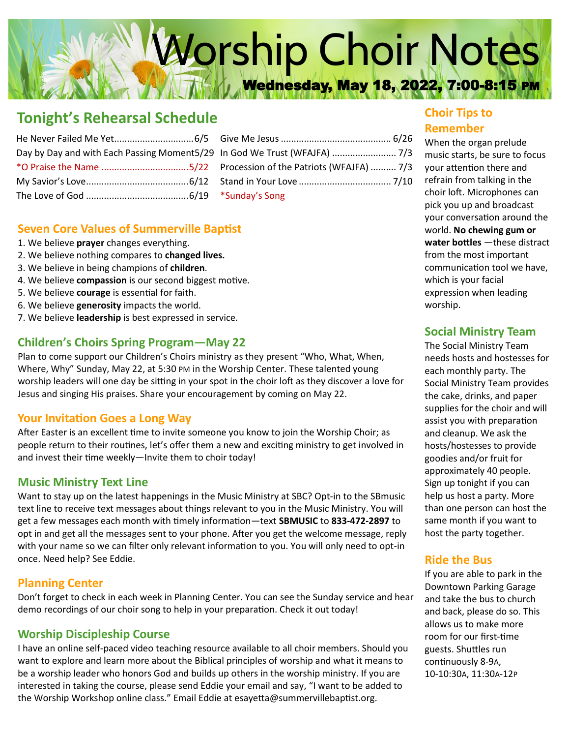# Worship Choir Notes Wednesday, May 18, 2022, 7:00-8:15 PM

## **Tonight's Rehearsal Schedule**

| Day by Day and with Each Passing Moment5/29 In G |  |
|--------------------------------------------------|--|
|                                                  |  |
|                                                  |  |
|                                                  |  |

| Procession of the Patriots (WFAJFA)  7/3 |  |
|------------------------------------------|--|
|                                          |  |
| *Sunday's Song                           |  |

## **Seven Core Values of Summerville Baptist**

- 1. We believe **prayer** changes everything.
- 2. We believe nothing compares to **changed lives.**
- 3. We believe in being champions of **children**.
- 4. We believe **compassion** is our second biggest motive.
- 5. We believe **courage** is essential for faith.
- 6. We believe **generosity** impacts the world.
- 7. We believe **leadership** is best expressed in service.

## **Children's Choirs Spring Program—May 22**

Plan to come support our Children's Choirs ministry as they present "Who, What, When, Where, Why" Sunday, May 22, at 5:30 PM in the Worship Center. These talented young worship leaders will one day be sitting in your spot in the choir loft as they discover a love for Jesus and singing His praises. Share your encouragement by coming on May 22.

## **Your Invitation Goes a Long Way**

After Easter is an excellent time to invite someone you know to join the Worship Choir; as people return to their routines, let's offer them a new and exciting ministry to get involved in and invest their time weekly—Invite them to choir today!

## **Music Ministry Text Line**

Want to stay up on the latest happenings in the Music Ministry at SBC? Opt-in to the SBmusic text line to receive text messages about things relevant to you in the Music Ministry. You will get a few messages each month with timely information—text **SBMUSIC** to **833-472-2897** to opt in and get all the messages sent to your phone. After you get the welcome message, reply with your name so we can filter only relevant information to you. You will only need to opt-in once. Need help? See Eddie.

## **Planning Center**

Don't forget to check in each week in Planning Center. You can see the Sunday service and hear demo recordings of our choir song to help in your preparation. Check it out today!

## **Worship Discipleship Course**

I have an online self-paced video teaching resource available to all choir members. Should you want to explore and learn more about the Biblical principles of worship and what it means to be a worship leader who honors God and builds up others in the worship ministry. If you are interested in taking the course, please send Eddie your email and say, "I want to be added to the Worship Workshop online class." Email Eddie at esayetta@summervillebaptist.org.

## **Choir Tips to Remember**

When the organ prelude music starts, be sure to focus your attention there and refrain from talking in the choir loft. Microphones can pick you up and broadcast your conversation around the world. **No chewing gum or water bottles** —these distract from the most important communication tool we have, which is your facial expression when leading worship.

## **Social Ministry Team**

The Social Ministry Team needs hosts and hostesses for each monthly party. The Social Ministry Team provides the cake, drinks, and paper supplies for the choir and will assist you with preparation and cleanup. We ask the hosts/hostesses to provide goodies and/or fruit for approximately 40 people. Sign up tonight if you can help us host a party. More than one person can host the same month if you want to host the party together.

## **Ride the Bus**

If you are able to park in the Downtown Parking Garage and take the bus to church and back, please do so. This allows us to make more room for our first-time guests. Shuttles run continuously 8-9A, 10-10:30A, 11:30A-12P